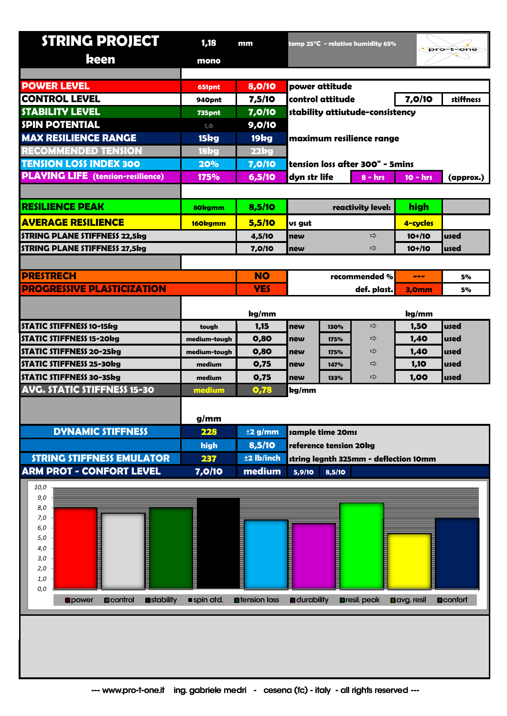| <b>STRING PROJECT</b>                          | 1,18<br>mm    |                       | temp 25 $\mathrm{^{\circ}C}\,$ - relative humidity 65% |                                 |                      | pro-t-one         |                  |
|------------------------------------------------|---------------|-----------------------|--------------------------------------------------------|---------------------------------|----------------------|-------------------|------------------|
| keen                                           | mono          |                       |                                                        |                                 |                      |                   |                  |
|                                                |               |                       |                                                        |                                 |                      |                   |                  |
| <b>POWER LEVEL</b>                             | 651pnt        | 8,0/10                | power attitude                                         |                                 |                      |                   |                  |
| <b>CONTROL LEVEL</b>                           | 940pnt        | 7,5/10                |                                                        | control attitude                |                      |                   | stiffness        |
| <b>STABILITY LEVEL</b>                         | <b>735pnt</b> | 7,0/10                |                                                        | stability attiutude-consistency |                      |                   |                  |
| <b>SPIN POTENTIAL</b>                          | 1, 0          | 9,0/10                |                                                        |                                 |                      |                   |                  |
| <b>MAX RESILIENCE RANGE</b>                    | 15kg          | 19 <sub>kg</sub>      | maximum resilience range                               |                                 |                      |                   |                  |
| <b>RECOMMENDED TENSION</b>                     | 18kg          | 22kg                  |                                                        |                                 |                      |                   |                  |
| <b>TENSION LOSS INDEX 300</b>                  | 20%           | 7,0/10                | tension loss after 300" - 5mins                        |                                 |                      |                   |                  |
| <b>PLAYING LIFE</b> (tension-resilience)       | 175%          | 6,5/10                | dyn str life<br>$8 - hrs$                              |                                 |                      | $10 - hrs$        | (approx.)        |
|                                                |               |                       |                                                        |                                 |                      |                   |                  |
| <b>RESILIENCE PEAK</b>                         | 80kgmm        | 8,5/10                | reactivity level:                                      |                                 |                      | high              |                  |
| <b>AVERAGE RESILIENCE</b>                      | 160kgmm       | 5,5/10                | vs gut                                                 |                                 |                      | 4-cycles          |                  |
| <b>STRING PLANE STIFFNESS 22,5kg</b>           |               | 4,5/10                | ⇨<br>new                                               |                                 | $10+110$             | used              |                  |
| <b>STRING PLANE STIFFNESS 27,5kg</b>           |               | 7,0/10                | new                                                    |                                 | ⇨                    | $10+110$          | used             |
|                                                |               |                       |                                                        |                                 |                      |                   |                  |
| <b>PRESTRECH</b>                               |               | <b>NO</b>             |                                                        |                                 | recommended %        | ---               | 5%               |
| <b>PROGRESSIVE PLASTICIZATION</b>              |               | <b>YES</b>            |                                                        |                                 | def. plast.          | <b>3,0mm</b>      | 5%               |
|                                                |               | kg/mm                 |                                                        |                                 |                      | kg/mm             |                  |
| <b>STATIC STIFFNESS 10-15kg</b>                | tough         | 1,15                  | new                                                    | 130%                            | ⇨                    | 1,50              | used             |
| <b>STATIC STIFFNESS 15-20kg</b>                | medium-tough  | 0,80                  | new                                                    | 175%                            | ⇨                    | 1,40              | used             |
| <b>STATIC STIFFNESS 20-25kg</b>                | medium-tough  | 0,80                  | new                                                    | 175%                            | ⇨                    | 1,40              | used             |
| <b>STATIC STIFFNESS 25-30kg</b>                | medium        | 0,75                  | new                                                    | 147%                            | ⇨                    | 1,10              | used             |
| <b>STATIC STIFFNESS 30-35kg</b>                | medium        | 0,75                  | new                                                    | 133%                            | $\Rightarrow$        | 1,00              | used             |
| <b>AVG. STATIC STIFFNESS 15-30</b><br>medium   |               | 0,78                  | kg/mm                                                  |                                 |                      |                   |                  |
|                                                |               |                       |                                                        |                                 |                      |                   |                  |
|                                                | g/mm          |                       |                                                        |                                 |                      |                   |                  |
| <b>DYNAMIC STIFFNESS</b>                       | 228           | $\pm$ 2 g/mm          | sample time 20ms                                       |                                 |                      |                   |                  |
|                                                | high          | 8,5/10                | reference tension 20kg                                 |                                 |                      |                   |                  |
| <b>STRING STIFFNESS EMULATOR</b>               | 237           | ±2 lb/inch            | string legnth 325mm - deflection 10mm                  |                                 |                      |                   |                  |
| <b>ARM PROT - CONFORT LEVEL</b>                | 7,0/10        | medium                | 5,9/10                                                 | 8,5/10                          |                      |                   |                  |
| 10,0                                           |               |                       |                                                        |                                 |                      |                   |                  |
| 9,0<br>8,0                                     |               |                       |                                                        |                                 |                      |                   |                  |
| 7,0                                            |               |                       |                                                        |                                 |                      |                   |                  |
| 6,0                                            |               |                       |                                                        |                                 |                      |                   |                  |
| 5,0<br>4,0                                     |               |                       |                                                        |                                 |                      |                   |                  |
| 3,0                                            |               |                       |                                                        |                                 |                      |                   |                  |
| 2,0                                            |               |                       |                                                        |                                 |                      |                   |                  |
| 1,0<br>0,0                                     |               |                       |                                                        |                                 |                      |                   |                  |
| stability<br><b>D</b> control<br><b>Opower</b> | spin atd.     | <b>n</b> tension loss | <b>a</b> clurability                                   |                                 | <b>Dresil</b> . peak | <b>Davg.resil</b> | <b>Deconfort</b> |
|                                                |               |                       |                                                        |                                 |                      |                   |                  |
|                                                |               |                       |                                                        |                                 |                      |                   |                  |
|                                                |               |                       |                                                        |                                 |                      |                   |                  |
|                                                |               |                       |                                                        |                                 |                      |                   |                  |